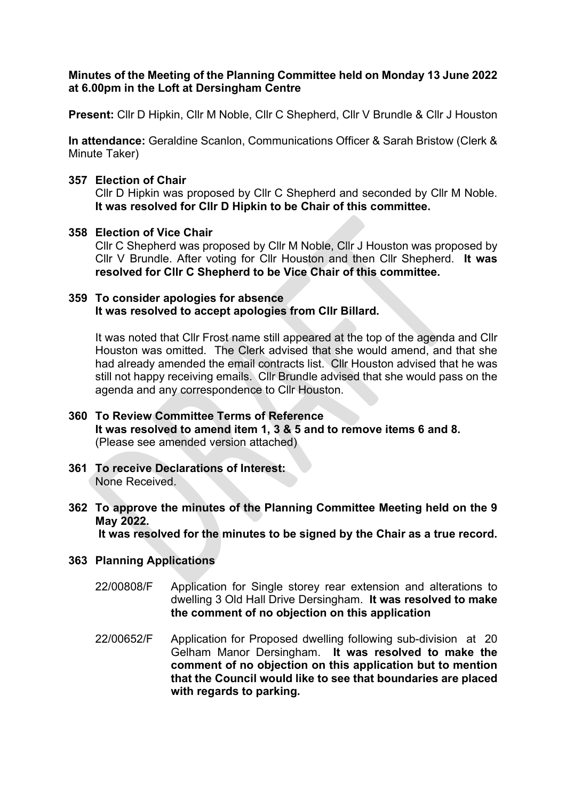## Minutes of the Meeting of the Planning Committee held on Monday 13 June 2022 at 6.00pm in the Loft at Dersingham Centre

Present: Cllr D Hipkin, Cllr M Noble, Cllr C Shepherd, Cllr V Brundle & Cllr J Houston

In attendance: Geraldine Scanlon, Communications Officer & Sarah Bristow (Clerk & Minute Taker)

### 357 Election of Chair

Cllr D Hipkin was proposed by Cllr C Shepherd and seconded by Cllr M Noble. It was resolved for Cllr D Hipkin to be Chair of this committee.

### 358 Election of Vice Chair

Cllr C Shepherd was proposed by Cllr M Noble, Cllr J Houston was proposed by Cllr V Brundle. After voting for Cllr Houston and then Cllr Shepherd. It was resolved for Cllr C Shepherd to be Vice Chair of this committee.

### 359 To consider apologies for absence It was resolved to accept apologies from Cllr Billard.

It was noted that Cllr Frost name still appeared at the top of the agenda and Cllr Houston was omitted. The Clerk advised that she would amend, and that she had already amended the email contracts list. Cllr Houston advised that he was still not happy receiving emails. Cllr Brundle advised that she would pass on the agenda and any correspondence to Cllr Houston.

# 360 To Review Committee Terms of Reference It was resolved to amend item 1, 3 & 5 and to remove items 6 and 8. (Please see amended version attached)

- 361 To receive Declarations of Interest: None Received.
- 362 To approve the minutes of the Planning Committee Meeting held on the 9 May 2022.

It was resolved for the minutes to be signed by the Chair as a true record.

## 363 Planning Applications

- 22/00808/F Application for Single storey rear extension and alterations to dwelling 3 Old Hall Drive Dersingham. It was resolved to make the comment of no objection on this application
- 22/00652/F Application for Proposed dwelling following sub-division at 20 Gelham Manor Dersingham. It was resolved to make the comment of no objection on this application but to mention that the Council would like to see that boundaries are placed with regards to parking.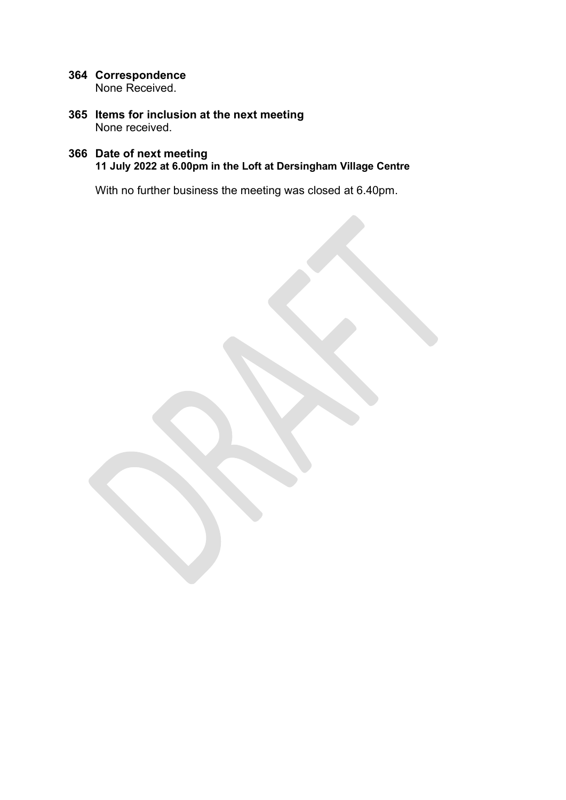- 364 Correspondence None Received.
- 365 Items for inclusion at the next meeting None received.

### 366 Date of next meeting 11 July 2022 at 6.00pm in the Loft at Dersingham Village Centre

With no further business the meeting was closed at 6.40pm.